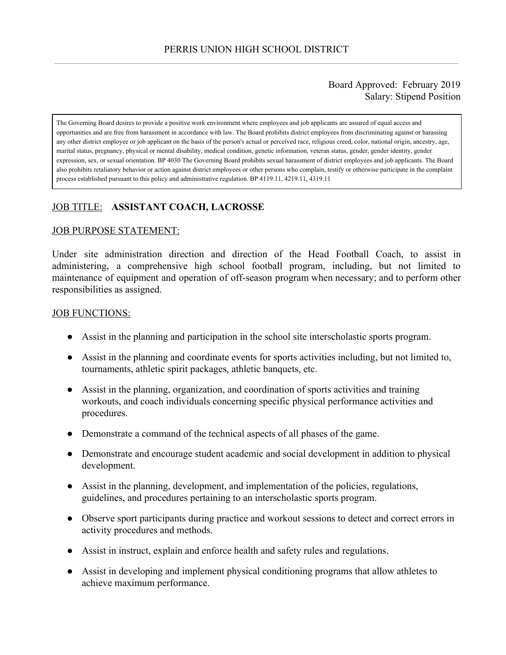### Board Approved: February 2019 Salary: Stipend Position

The Governing Board desires to provide a positive work environment where employees and job applicants are assured of equal access and opportunities and are free from harassment in accordance with law. The Board prohibits district employees from discriminating against or harassing any other district employee or job applicant on the basis of the person's actual or perceived race, religious creed, color, national origin, ancestry, age, marital status, pregnancy, physical or mental disability, medical condition, genetic information, veteran status, gender, gender identity, gender expression, sex, or sexual orientation. BP 4030 The Governing Board prohibits sexual harassment of district employees and job applicants. The Board also prohibits retaliatory behavior or action against district employees or other persons who complain, testify or otherwise participate in the complaint process established pursuant to this policy and administrative regulation. BP 4119.11, 4219.11, 4319.11

# JOB TITLE: **ASSISTANT COACH, LACROSSE**

#### JOB PURPOSE STATEMENT:

Under site administration direction and direction of the Head Football Coach, to assist in administering, a comprehensive high school football program, including, but not limited to maintenance of equipment and operation of off-season program when necessary; and to perform other responsibilities as assigned.

#### JOB FUNCTIONS:

- Assist in the planning and participation in the school site interscholastic sports program.
- Assist in the planning and coordinate events for sports activities including, but not limited to, tournaments, athletic spirit packages, athletic banquets, etc.
- Assist in the planning, organization, and coordination of sports activities and training workouts, and coach individuals concerning specific physical performance activities and procedures.
- Demonstrate a command of the technical aspects of all phases of the game.
- Demonstrate and encourage student academic and social development in addition to physical development.
- Assist in the planning, development, and implementation of the policies, regulations, guidelines, and procedures pertaining to an interscholastic sports program.
- Observe sport participants during practice and workout sessions to detect and correct errors in activity procedures and methods.
- Assist in instruct, explain and enforce health and safety rules and regulations.
- Assist in developing and implement physical conditioning programs that allow athletes to achieve maximum performance.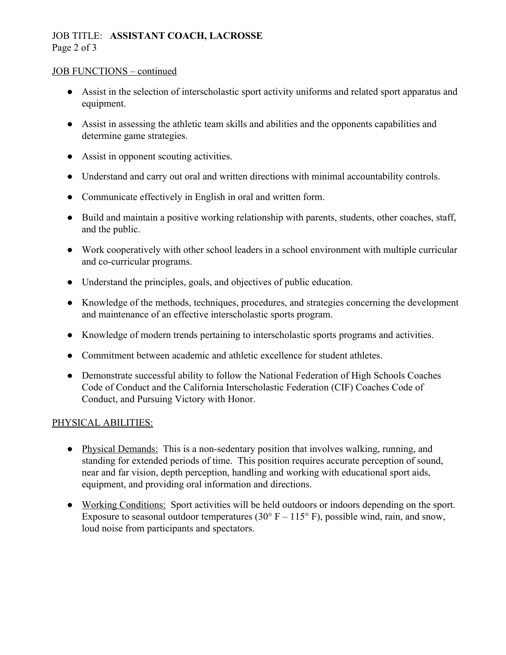# JOB TITLE: **ASSISTANT COACH, LACROSSE** Page 2 of 3

#### JOB FUNCTIONS – continued

- Assist in the selection of interscholastic sport activity uniforms and related sport apparatus and equipment.
- Assist in assessing the athletic team skills and abilities and the opponents capabilities and determine game strategies.
- Assist in opponent scouting activities.
- Understand and carry out oral and written directions with minimal accountability controls.
- Communicate effectively in English in oral and written form.
- Build and maintain a positive working relationship with parents, students, other coaches, staff, and the public.
- Work cooperatively with other school leaders in a school environment with multiple curricular and co-curricular programs.
- Understand the principles, goals, and objectives of public education.
- Knowledge of the methods, techniques, procedures, and strategies concerning the development and maintenance of an effective interscholastic sports program.
- Knowledge of modern trends pertaining to interscholastic sports programs and activities.
- Commitment between academic and athletic excellence for student athletes.
- Demonstrate successful ability to follow the National Federation of High Schools Coaches Code of Conduct and the California Interscholastic Federation (CIF) Coaches Code of Conduct, and Pursuing Victory with Honor.

# PHYSICAL ABILITIES:

- Physical Demands: This is a non-sedentary position that involves walking, running, and standing for extended periods of time. This position requires accurate perception of sound, near and far vision, depth perception, handling and working with educational sport aids, equipment, and providing oral information and directions.
- Working Conditions: Sport activities will be held outdoors or indoors depending on the sport. Exposure to seasonal outdoor temperatures (30 $\degree$  F – 115 $\degree$  F), possible wind, rain, and snow, loud noise from participants and spectators.